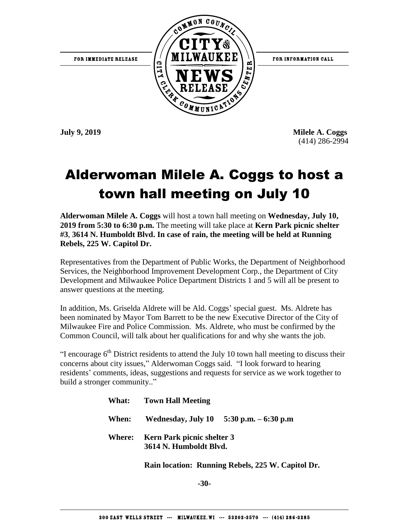

**July 9, 2019 Milele A. Coggs** (414) 286-2994

## Alderwoman Milele A. Coggs to host a town hall meeting on July 10

**Alderwoman Milele A. Coggs** will host a town hall meeting on **Wednesday, July 10, 2019 from 5:30 to 6:30 p.m.** The meeting will take place at **Kern Park picnic shelter #3**, **3614 N. Humboldt Blvd. In case of rain, the meeting will be held at Running Rebels, 225 W. Capitol Dr.**

Representatives from the Department of Public Works, the Department of Neighborhood Services, the Neighborhood Improvement Development Corp., the Department of City Development and Milwaukee Police Department Districts 1 and 5 will all be present to answer questions at the meeting.

In addition, Ms. Griselda Aldrete will be Ald. Coggs' special guest. Ms. Aldrete has been nominated by Mayor Tom Barrett to be the new Executive Director of the City of Milwaukee Fire and Police Commission. Ms. Aldrete, who must be confirmed by the Common Council, will talk about her qualifications for and why she wants the job.

"I encourage  $6<sup>th</sup>$  District residents to attend the July 10 town hall meeting to discuss their concerns about city issues," Alderwoman Coggs said. "I look forward to hearing residents' comments, ideas, suggestions and requests for service as we work together to build a stronger community.."

|        | <b>What:</b> Town Hall Meeting                              |  |
|--------|-------------------------------------------------------------|--|
|        | When: Wednesday, July 10 $5:30$ p.m. $-6:30$ p.m            |  |
| Where: | <b>Kern Park picnic shelter 3</b><br>3614 N. Humboldt Blyd. |  |

 **Rain location: Running Rebels, 225 W. Capitol Dr.**

**-30-**